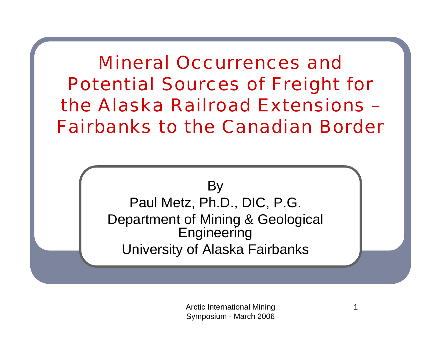*Mineral Occurrences and Potential Sources of Freight for the Alaska Railroad Extensions –Fairbanks to the Canadian Border*

> **By** Paul Metz, Ph.D., DIC, P.G. Department of Mining & Geological **Engineering** University of Alaska Fairbanks

> > Arctic International Mining Symposium - March 2006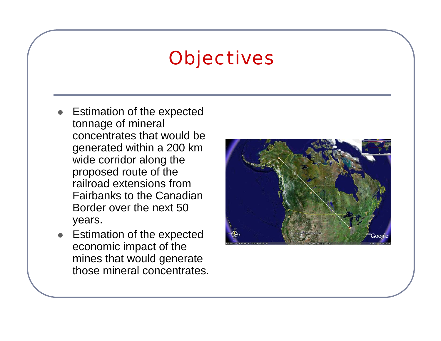# **Objectives**

- Estimation of the expected tonnage of mineral concentrates that would be generated within a 200 km wide corridor along the proposed route of the railroad extensions from Fairbanks to the Canadian Border over the next 50 years.
- Estimation of the expected economic impact of the mines that would generate those mineral concentrates.

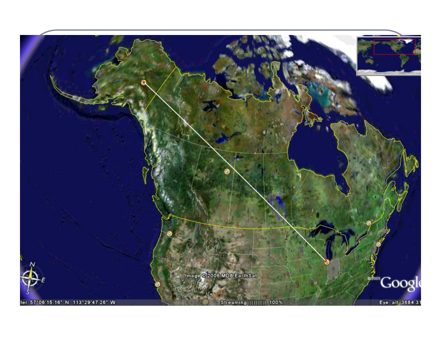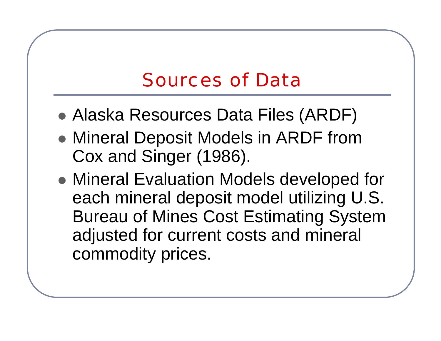## Sources of Data

- Alaska Resources Data Files (ARDF)
- Mineral Deposit Models in ARDF from Cox and Singer (1986).
- Mineral Evaluation Models developed for each mineral deposit model utilizing U.S. Bureau of Mines Cost Estimating System adjusted for current costs and mineral commodity prices.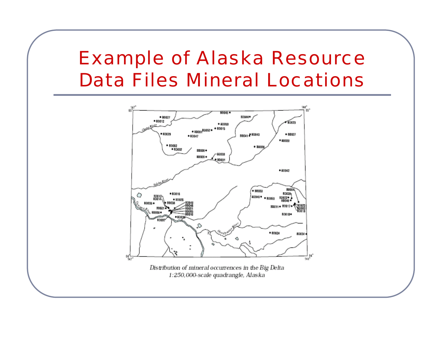## Example of Alaska Resource Data Files Mineral Locations



1:250,000-scale quadrangle, Alaska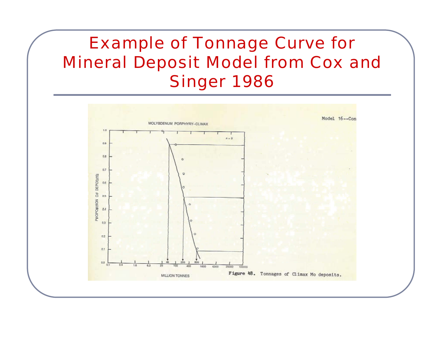## Example of Tonnage Curve for Mineral Deposit Model from Cox and Singer 1986

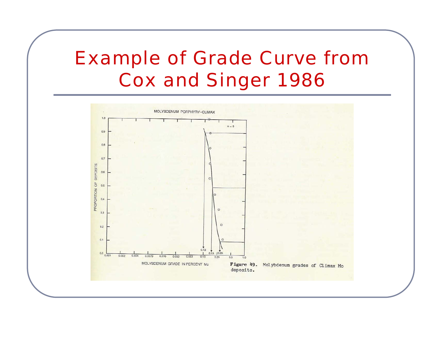# Example of Grade Curve from Cox and Singer 1986

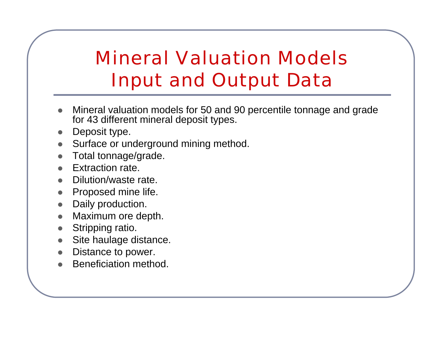# Mineral Valuation ModelsInput and Output Data

- $\bullet$  Mineral valuation models for 50 and 90 percentile tonnage and grade for 43 different mineral deposit types.
- $\bullet$ Deposit type.
- Surface or underground mining method.
- $\bullet$ Total tonnage/grade.
- Extraction rate.
- $\bullet$ Dilution/waste rate.
- $\bullet$ Proposed mine life.
- $\bullet$ Daily production.
- Maximum ore depth.
- $\bullet$ Stripping ratio.
- Site haulage distance.
- $\bullet$ Distance to power.
- $\bullet$ Beneficiation method.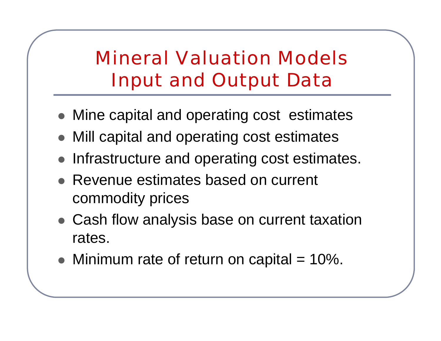# Mineral Valuation ModelsInput and Output Data

- Mine capital and operating cost estimates
- Mill capital and operating cost estimates
- Infrastructure and operating cost estimates.
- Revenue estimates based on current commodity prices
- Cash flow analysis base on current taxation rates.
- Minimum rate of return on capital  $= 10\%$ .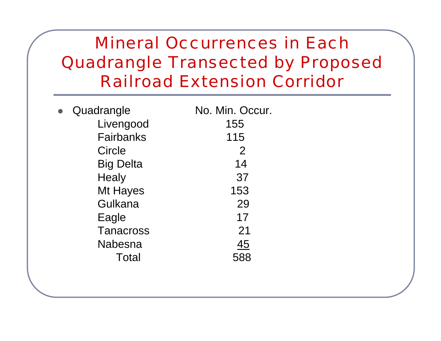## Mineral Occurrences in Each Quadrangle Transected by Proposed Railroad Extension Corridor

| Quadrangle       | No. Min. Occur. |
|------------------|-----------------|
| Livengood        | 155             |
| Fairbanks        | 115             |
| Circle           | 2               |
| <b>Big Delta</b> | 14              |
| <b>Healy</b>     | 37              |
| Mt Hayes         | 153             |
| Gulkana          | 29              |
| Eagle            | 17              |
| <b>Tanacross</b> | 21              |
| Nabesna          | 45              |
| Total            |                 |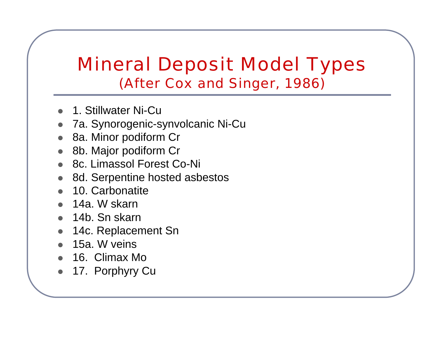## Mineral Deposit Model Types (After Cox and Singer, 1986)

- 1. Stillwater Ni-Cu
- $\bullet$ 7a. Synorogenic-synvolcanic Ni-Cu
- $\bullet$ 8a. Minor podiform Cr
- 8b. Major podiform Cr
- 8c. Limassol Forest Co-Ni
- 8d. Serpentine hosted asbestos
- 10. Carbonatite
- 14a W skarn
- 14b. Sn skarn
- 14c. Replacement Sn
- 15a W veins
- 16. Climax Mo
- 17. Porphyry Cu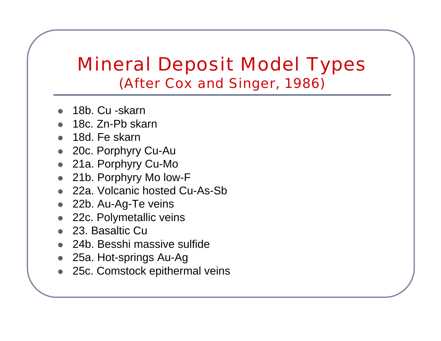#### Mineral Deposit Model Types (After Cox and Singer, 1986)

- 18b. Cu -skarn
- 18c. Zn-Pb skarn
- 18d. Fe skarn
- 20c. Porphyry Cu-Au
- 21a. Porphyry Cu-Mo
- $\bullet$  21b. Porphyry Mo low-F
- 22a. Volcanic hosted Cu-As-Sb
- 22b. Au-Ag-Te veins
- $\bullet$ 22c. Polymetallic veins
- 23. Basaltic Cu
- 24b. Besshi massive sulfide
- 25a. Hot-springs Au-Ag
- 25c. Comstock epithermal veins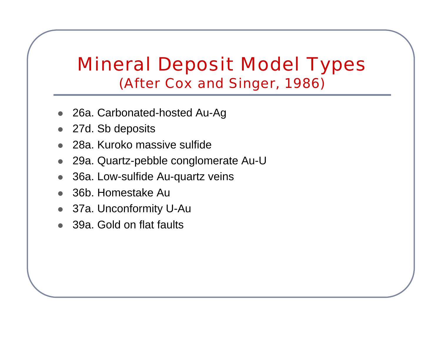#### Mineral Deposit Model Types (After Cox and Singer, 1986)

- 26a. Carbonated-hosted Au-Ag
- $\bullet$ 27d. Sb deposits
- $\bullet$ 28a. Kuroko massive sulfide
- $\bullet$ 29a. Quartz-pebble conglomerate Au-U
- $\bullet$ 36a. Low-sulfide Au-quartz veins
- $\bullet$ 36b. Homestake Au
- $\bullet$ 37a. Unconformity U-Au
- $\bullet$ 39a. Gold on flat faults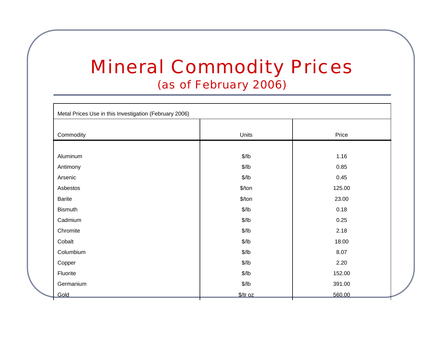#### Mineral Commodity Prices (as of February 2006)

| Metal Prices Use in this Investigation (February 2006) |           |        |  |  |  |
|--------------------------------------------------------|-----------|--------|--|--|--|
|                                                        | Units     | Price  |  |  |  |
| Commodity                                              |           |        |  |  |  |
| Aluminum                                               | \$/lb     | 1.16   |  |  |  |
| Antimony                                               | \$/lb     | 0.85   |  |  |  |
| Arsenic                                                | \$/lb     | 0.45   |  |  |  |
| Asbestos                                               | \$/ton    | 125.00 |  |  |  |
| <b>Barite</b>                                          | \$/ton    | 23.00  |  |  |  |
| <b>Bismuth</b>                                         | \$/lb     | 0.18   |  |  |  |
| Cadmium                                                | \$/lb     | 0.25   |  |  |  |
| Chromite                                               | \$/lb     | 2.18   |  |  |  |
| Cobalt                                                 | \$/lb     | 18.00  |  |  |  |
| Columbium                                              | \$/lb     | 8.07   |  |  |  |
| Copper                                                 | \$/lb     | 2.20   |  |  |  |
| Fluorite                                               | \$/lb     | 152.00 |  |  |  |
| Germanium                                              | \$/lb     | 391.00 |  |  |  |
| Gold                                                   | $$/tr$ oz | 560.00 |  |  |  |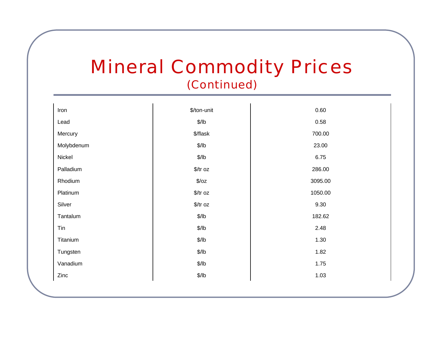#### Mineral Commodity Prices (Continued)

| Iron       | \$/ton-unit        | 0.60    |
|------------|--------------------|---------|
| Lead       | \$/lb              | 0.58    |
| Mercury    | \$/flask           | 700.00  |
| Molybdenum | \$/lb              | 23.00   |
| Nickel     | \$/lb              | 6.75    |
| Palladium  | $\frac{f}{f}$ troz | 286.00  |
| Rhodium    | $\sqrt{2}/oz$      | 3095.00 |
| Platinum   | $$/tr$ oz          | 1050.00 |
| Silver     | f(x)               | 9.30    |
| Tantalum   | \$/lb              | 182.62  |
| Tin        | \$/lb              | 2.48    |
| Titanium   | \$/lb              | 1.30    |
| Tungsten   | \$/lb              | 1.82    |
| Vanadium   | \$/lb              | 1.75    |
| Zinc       | \$/lb              | 1.03    |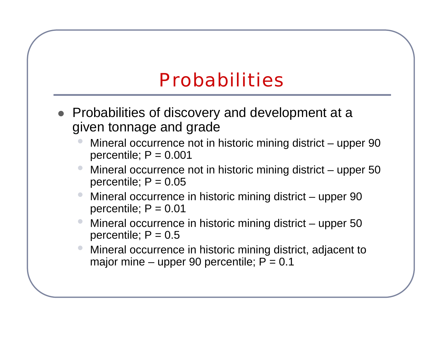## Probabilities

- Probabilities of discovery and development at a given tonnage and grade
	- $\bullet$  Mineral occurrence not in historic mining district – upper 90 percentile;  $P = 0.001$
	- $\bullet$  Mineral occurrence not in historic mining district – upper 50 percentile;  $P = 0.05$
	- $\bullet$  Mineral occurrence in historic mining district – upper 90 percentile;  $P = 0.01$
	- $\bullet$  Mineral occurrence in historic mining district – upper 50 percentile;  $P = 0.5$
	- $\bullet$  Mineral occurrence in historic mining district, adjacent to major mine – upper 90 percentile;  $P = 0.1$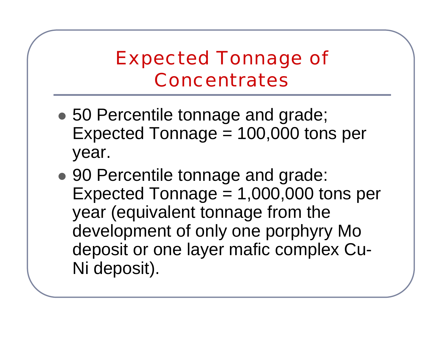# Expected Tonnage of **Concentrates**

- 50 Percentile tonnage and grade; Expected Tonnage = 100,000 tons per year.
- 90 Percentile tonnage and grade: Expected Tonnage  $= 1,000,000$  tons per year (equivalent tonnage from the development of only one porphyry Mo deposit or one layer mafic complex Cu-Ni deposit).